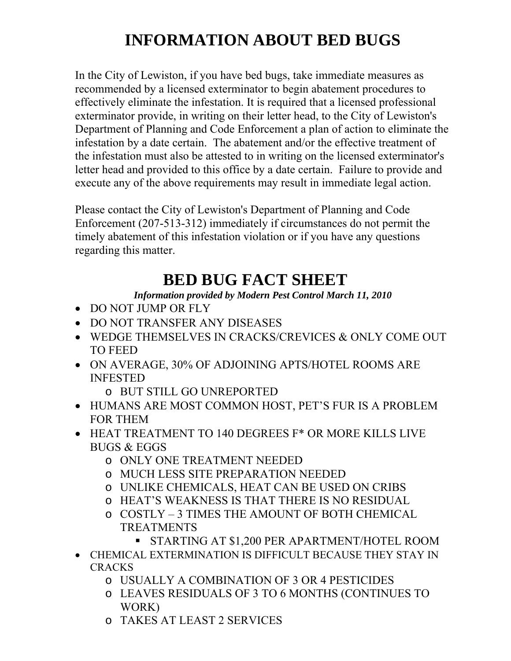# **INFORMATION ABOUT BED BUGS**

In the City of Lewiston, if you have bed bugs, take immediate measures as recommended by a licensed exterminator to begin abatement procedures to effectively eliminate the infestation. It is required that a licensed professional exterminator provide, in writing on their letter head, to the City of Lewiston's Department of Planning and Code Enforcement a plan of action to eliminate the infestation by a date certain. The abatement and/or the effective treatment of the infestation must also be attested to in writing on the licensed exterminator's letter head and provided to this office by a date certain. Failure to provide and execute any of the above requirements may result in immediate legal action.

Please contact the City of Lewiston's Department of Planning and Code Enforcement (207-513-312) immediately if circumstances do not permit the timely abatement of this infestation violation or if you have any questions regarding this matter.

## **BED BUG FACT SHEET**

*Information provided by Modern Pest Control March 11, 2010* 

- DO NOT JUMP OR FLY
- DO NOT TRANSFER ANY DISEASES
- WEDGE THEMSELVES IN CRACKS/CREVICES & ONLY COME OUT TO FEED
- ON AVERAGE, 30% OF ADJOINING APTS/HOTEL ROOMS ARE INFESTED
	- o BUT STILL GO UNREPORTED
- HUMANS ARE MOST COMMON HOST, PET'S FUR IS A PROBLEM FOR THEM
- HEAT TREATMENT TO 140 DEGREES F\* OR MORE KILLS LIVE BUGS & EGGS
	- o ONLY ONE TREATMENT NEEDED
	- o MUCH LESS SITE PREPARATION NEEDED
	- o UNLIKE CHEMICALS, HEAT CAN BE USED ON CRIBS
	- o HEAT'S WEAKNESS IS THAT THERE IS NO RESIDUAL
	- o COSTLY 3 TIMES THE AMOUNT OF BOTH CHEMICAL TREATMENTS
		- STARTING AT \$1,200 PER APARTMENT/HOTEL ROOM
- CHEMICAL EXTERMINATION IS DIFFICULT BECAUSE THEY STAY IN CRACKS
	- o USUALLY A COMBINATION OF 3 OR 4 PESTICIDES
	- o LEAVES RESIDUALS OF 3 TO 6 MONTHS (CONTINUES TO WORK)
	- o TAKES AT LEAST 2 SERVICES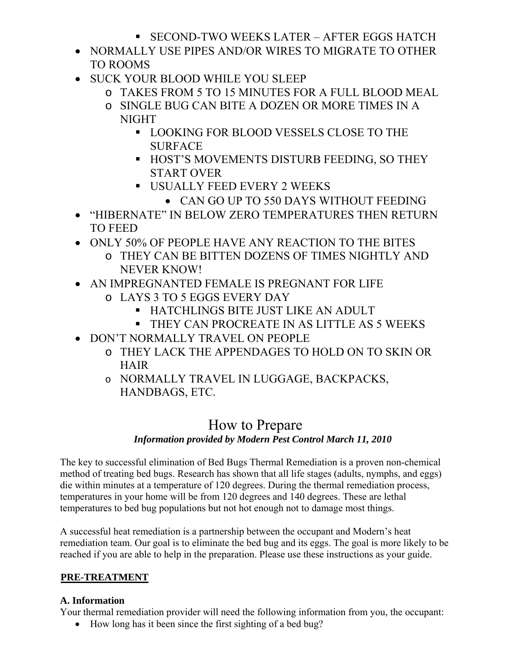- SECOND-TWO WEEKS LATER AFTER EGGS HATCH
- NORMALLY USE PIPES AND/OR WIRES TO MIGRATE TO OTHER TO ROOMS
- SUCK YOUR BLOOD WHILE YOU SLEEP
	- o TAKES FROM 5 TO 15 MINUTES FOR A FULL BLOOD MEAL
	- o SINGLE BUG CAN BITE A DOZEN OR MORE TIMES IN A NIGHT
		- **LOOKING FOR BLOOD VESSELS CLOSE TO THE** SURFACE
		- **HOST'S MOVEMENTS DISTURB FEEDING, SO THEY** START OVER
		- **USUALLY FEED EVERY 2 WEEKS** 
			- CAN GO UP TO 550 DAYS WITHOUT FEEDING
- "HIBERNATE" IN BELOW ZERO TEMPERATURES THEN RETURN TO FEED
- ONLY 50% OF PEOPLE HAVE ANY REACTION TO THE BITES
	- o THEY CAN BE BITTEN DOZENS OF TIMES NIGHTLY AND NEVER KNOW!
- AN IMPREGNANTED FEMALE IS PREGNANT FOR LIFE
	- o LAYS 3 TO 5 EGGS EVERY DAY
		- HATCHLINGS BITE JUST LIKE AN ADULT
		- **THEY CAN PROCREATE IN AS LITTLE AS 5 WEEKS**
- DON'T NORMALLY TRAVEL ON PEOPLE
	- o THEY LACK THE APPENDAGES TO HOLD ON TO SKIN OR HAIR
	- o NORMALLY TRAVEL IN LUGGAGE, BACKPACKS, HANDBAGS, ETC.

## How to Prepare *Information provided by Modern Pest Control March 11, 2010*

The key to successful elimination of Bed Bugs Thermal Remediation is a proven non-chemical method of treating bed bugs. Research has shown that all life stages (adults, nymphs, and eggs)

die within minutes at a temperature of 120 degrees. During the thermal remediation process, temperatures in your home will be from 120 degrees and 140 degrees. These are lethal temperatures to bed bug populations but not hot enough not to damage most things.

A successful heat remediation is a partnership between the occupant and Modern's heat remediation team. Our goal is to eliminate the bed bug and its eggs. The goal is more likely to be reached if you are able to help in the preparation. Please use these instructions as your guide.

## PRE-TREATMENT

## **A. Information**

Your thermal remediation provider will need the following information from you, the occupant:

• How long has it been since the first sighting of a bed bug?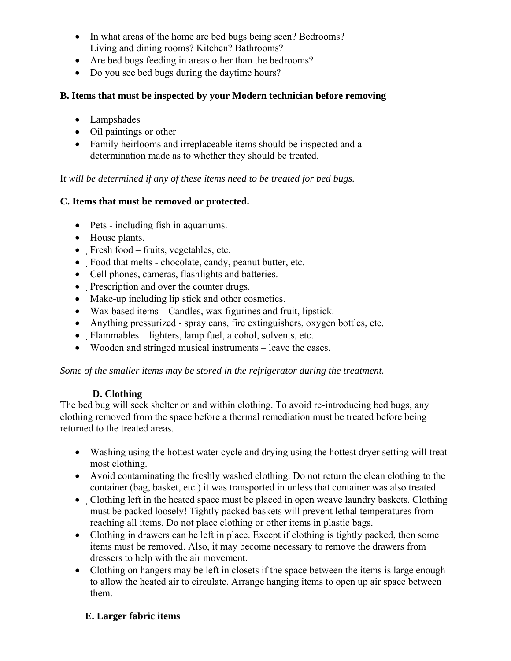- In what areas of the home are bed bugs being seen? Bedrooms? Living and dining rooms? Kitchen? Bathrooms?
- Are bed bugs feeding in areas other than the bedrooms?
- Do you see bed bugs during the daytime hours?

#### **B. Items that must be inspected by your Modern technician before removing**

- Lampshades
- Oil paintings or other
- Family heirlooms and irreplaceable items should be inspected and a determination made as to whether they should be treated.

I*t will be determined if any of these items need to be treated for bed bugs.*

#### **C. Items that must be removed or protected.**

- Pets including fish in aquariums.
- House plants.
- Fresh food fruits, vegetables, etc.
- Food that melts chocolate, candy, peanut butter, etc.
- Cell phones, cameras, flashlights and batteries.
- Prescription and over the counter drugs.
- Make-up including lip stick and other cosmetics.
- Wax based items Candles, wax figurines and fruit, lipstick.
- Anything pressurized spray cans, fire extinguishers, oxygen bottles, etc.
- Flammables lighters, lamp fuel, alcohol, solvents, etc.
- Wooden and stringed musical instruments leave the cases.

*Some of the smaller items may be stored in the refrigerator during the treatment.* 

#### **D. Clothing**

The bed bug will seek shelter on and within clothing. To avoid re-introducing bed bugs, any clothing removed from the space before a thermal remediation must be treated before being returned to the treated areas.

- Washing using the hottest water cycle and drying using the hottest dryer setting will treat most clothing.
- Avoid contaminating the freshly washed clothing. Do not return the clean clothing to the container (bag, basket, etc.) it was transported in unless that container was also treated.
- Clothing left in the heated space must be placed in open weave laundry baskets. Clothing must be packed loosely! Tightly packed baskets will prevent lethal temperatures from reaching all items. Do not place clothing or other items in plastic bags.
- Clothing in drawers can be left in place. Except if clothing is tightly packed, then some items must be removed. Also, it may become necessary to remove the drawers from dressers to help with the air movement.
- Clothing on hangers may be left in closets if the space between the items is large enough to allow the heated air to circulate. Arrange hanging items to open up air space between them.

#### **E. Larger fabric items**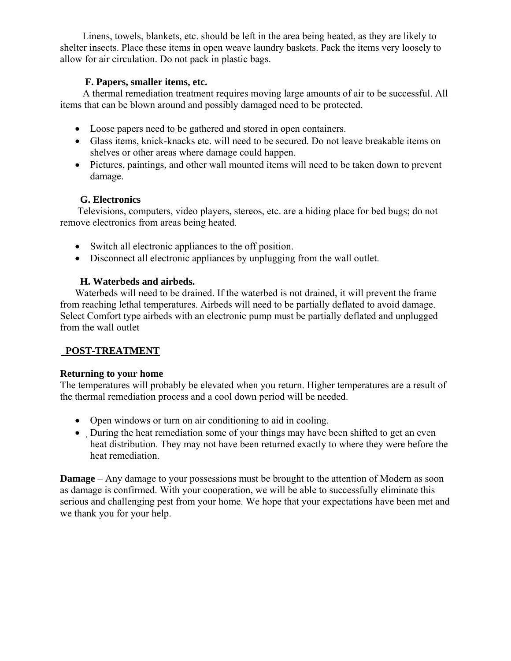Linens, towels, blankets, etc. should be left in the area being heated, as they are likely to shelter insects. Place these items in open weave laundry baskets. Pack the items very loosely to allow for air circulation. Do not pack in plastic bags.

#### **F. Papers, smaller items, etc.**

 A thermal remediation treatment requires moving large amounts of air to be successful. All items that can be blown around and possibly damaged need to be protected.

- Loose papers need to be gathered and stored in open containers.
- Glass items, knick-knacks etc. will need to be secured. Do not leave breakable items on shelves or other areas where damage could happen.
- Pictures, paintings, and other wall mounted items will need to be taken down to prevent damage.

#### **G. Electronics**

 Televisions, computers, video players, stereos, etc. are a hiding place for bed bugs; do not remove electronics from areas being heated.

- Switch all electronic appliances to the off position.
- Disconnect all electronic appliances by unplugging from the wall outlet.

#### **H. Waterbeds and airbeds.**

 Waterbeds will need to be drained. If the waterbed is not drained, it will prevent the frame from reaching lethal temperatures. Airbeds will need to be partially deflated to avoid damage. Select Comfort type airbeds with an electronic pump must be partially deflated and unplugged from the wall outlet

#### <sup>U</sup> **POST-TREATMENT**

#### **Returning to your home**

The temperatures will probably be elevated when you return. Higher temperatures are a result of the thermal remediation process and a cool down period will be needed.

- Open windows or turn on air conditioning to aid in cooling.
- During the heat remediation some of your things may have been shifted to get an even heat distribution. They may not have been returned exactly to where they were before the heat remediation.

**Damage** – Any damage to your possessions must be brought to the attention of Modern as soon as damage is confirmed. With your cooperation, we will be able to successfully eliminate this serious and challenging pest from your home. We hope that your expectations have been met and we thank you for your help.